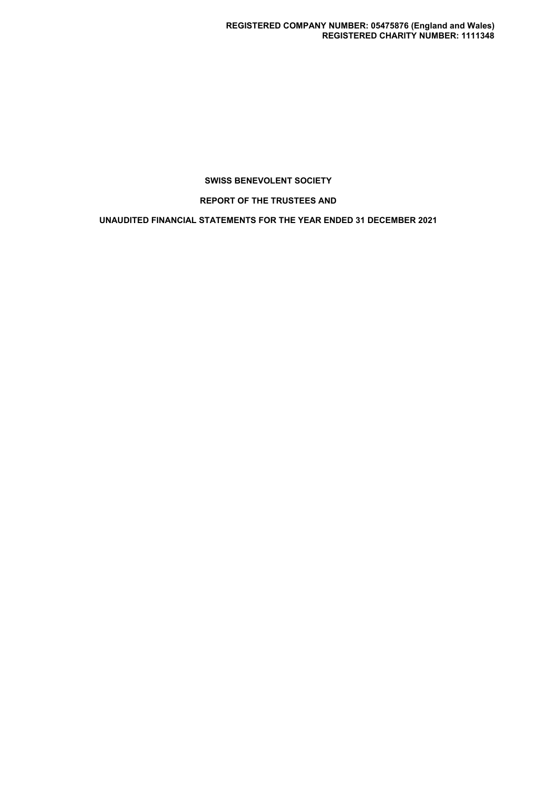**REPORT OF THE TRUSTEES AND**

**UNAUDITED FINANCIAL STATEMENTS FOR THE YEAR ENDED 31 DECEMBER 2021**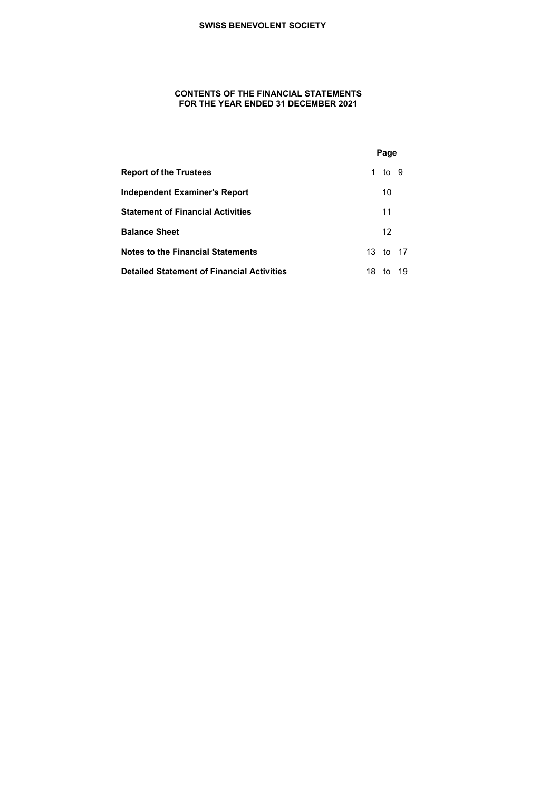# **CONTENTS OF THE FINANCIAL STATEMENTS FOR THE YEAR ENDED 31 DECEMBER 2021**

|                                                   |    | Page            |    |
|---------------------------------------------------|----|-----------------|----|
| <b>Report of the Trustees</b>                     |    | 1 to 9          |    |
| Independent Examiner's Report                     |    | 10              |    |
| <b>Statement of Financial Activities</b>          |    | 11              |    |
| <b>Balance Sheet</b>                              |    | 12 <sup>°</sup> |    |
| <b>Notes to the Financial Statements</b>          |    | 13 to 17        |    |
| <b>Detailed Statement of Financial Activities</b> | 18 | tο              | 19 |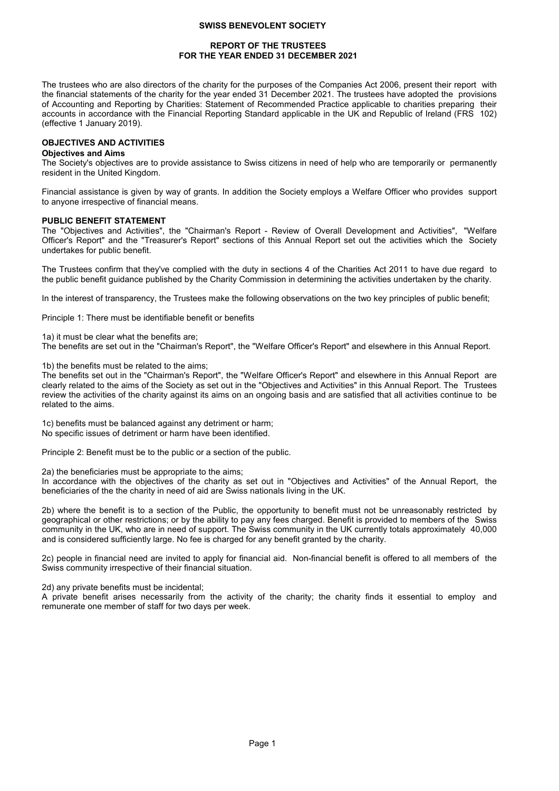# **REPORT OF THE TRUSTEES FOR THE YEAR ENDED 31 DECEMBER 2021**

The trustees who are also directors of the charity for the purposes of the Companies Act 2006, present their report with the financial statements of the charity for the year ended 31 December 2021. The trustees have adopted the provisions of Accounting and Reporting by Charities: Statement of Recommended Practice applicable to charities preparing their accounts in accordance with the Financial Reporting Standard applicable in the UK and Republic of Ireland (FRS 102) (effective 1 January 2019).

# **OBJECTIVES AND ACTIVITIES**

# **Objectives and Aims**

The Society's objectives are to provide assistance to Swiss citizens in need of help who are temporarily or permanently resident in the United Kingdom.

Financial assistance is given by way of grants. In addition the Society employs a Welfare Officer who provides support to anyone irrespective of financial means.

# **PUBLIC BENEFIT STATEMENT**

The "Objectives and Activities", the "Chairman's Report - Review of Overall Development and Activities", "Welfare Officer's Report" and the "Treasurer's Report" sections of this Annual Report set out the activities which the Society undertakes for public benefit.

The Trustees confirm that they've complied with the duty in sections 4 of the Charities Act 2011 to have due regard to the public benefit guidance published by the Charity Commission in determining the activities undertaken by the charity.

In the interest of transparency, the Trustees make the following observations on the two key principles of public benefit;

Principle 1: There must be identifiable benefit or benefits

1a) it must be clear what the benefits are;

The benefits are set out in the "Chairman's Report", the "Welfare Officer's Report" and elsewhere in this Annual Report.

1b) the benefits must be related to the aims;

The benefits set out in the "Chairman's Report", the "Welfare Officer's Report" and elsewhere in this Annual Report are clearly related to the aims of the Society as set out in the "Objectives and Activities" in this Annual Report. The Trustees review the activities of the charity against its aims on an ongoing basis and are satisfied that all activities continue to be related to the aims.

1c) benefits must be balanced against any detriment or harm; No specific issues of detriment or harm have been identified.

Principle 2: Benefit must be to the public or a section of the public.

2a) the beneficiaries must be appropriate to the aims;

In accordance with the objectives of the charity as set out in "Objectives and Activities" of the Annual Report, the beneficiaries of the the charity in need of aid are Swiss nationals living in the UK.

2b) where the benefit is to a section of the Public, the opportunity to benefit must not be unreasonably restricted by geographical or other restrictions; or by the ability to pay any fees charged. Benefit is provided to members of the Swiss community in the UK, who are in need of support. The Swiss community in the UK currently totals approximately 40,000 and is considered sufficiently large. No fee is charged for any benefit granted by the charity.

2c) people in financial need are invited to apply for financial aid. Non-financial benefit is offered to all members of the Swiss community irrespective of their financial situation.

2d) any private benefits must be incidental;

A private benefit arises necessarily from the activity of the charity; the charity finds it essential to employ and remunerate one member of staff for two days per week.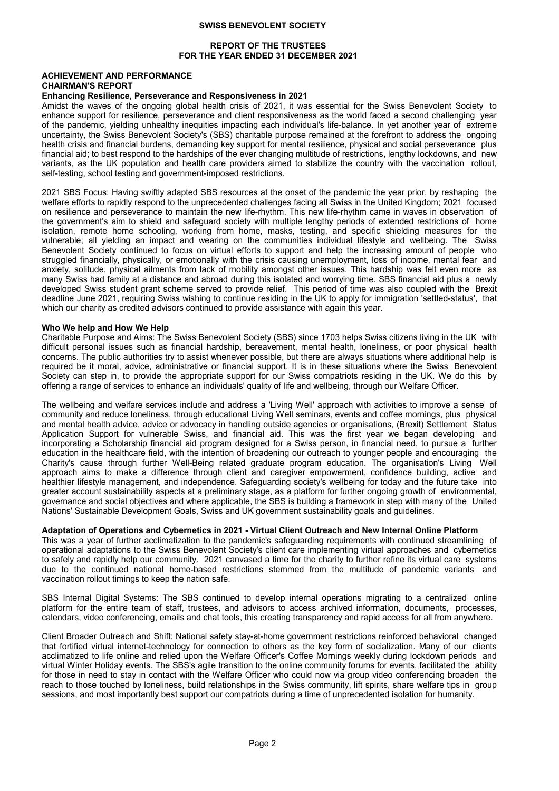# **REPORT OF THE TRUSTEES FOR THE YEAR ENDED 31 DECEMBER 2021**

# **ACHIEVEMENT AND PERFORMANCE CHAIRMAN'S REPORT**

# **Enhancing Resilience, Perseverance and Responsiveness in 2021**

Amidst the waves of the ongoing global health crisis of 2021, it was essential for the Swiss Benevolent Society to enhance support for resilience, perseverance and client responsiveness as the world faced a second challenging year of the pandemic, yielding unhealthy inequities impacting each individual's life-balance. In yet another year of extreme uncertainty, the Swiss Benevolent Society's (SBS) charitable purpose remained at the forefront to address the ongoing health crisis and financial burdens, demanding key support for mental resilience, physical and social perseverance plus financial aid; to best respond to the hardships of the ever changing multitude of restrictions, lengthy lockdowns, and new variants, as the UK population and health care providers aimed to stabilize the country with the vaccination rollout, self-testing, school testing and government-imposed restrictions.

2021 SBS Focus: Having swiftly adapted SBS resources at the onset of the pandemic the year prior, by reshaping the welfare efforts to rapidly respond to the unprecedented challenges facing all Swiss in the United Kingdom; 2021 focused on resilience and perseverance to maintain the new life-rhythm. This new life-rhythm came in waves in observation of the government's aim to shield and safeguard society with multiple lengthy periods of extended restrictions of home isolation, remote home schooling, working from home, masks, testing, and specific shielding measures for the vulnerable; all yielding an impact and wearing on the communities individual lifestyle and wellbeing. The Swiss Benevolent Society continued to focus on virtual efforts to support and help the increasing amount of people who struggled financially, physically, or emotionally with the crisis causing unemployment, loss of income, mental fear and anxiety, solitude, physical ailments from lack of mobility amongst other issues. This hardship was felt even more as many Swiss had family at a distance and abroad during this isolated and worrying time. SBS financial aid plus a newly developed Swiss student grant scheme served to provide relief. This period of time was also coupled with the Brexit deadline June 2021, requiring Swiss wishing to continue residing in the UK to apply for immigration 'settled-status', that which our charity as credited advisors continued to provide assistance with again this year.

#### **Who We help and How We Help**

Charitable Purpose and Aims: The Swiss Benevolent Society (SBS) since 1703 helps Swiss citizens living in the UK with difficult personal issues such as financial hardship, bereavement, mental health, loneliness, or poor physical health concerns. The public authorities try to assist whenever possible, but there are always situations where additional help is required be it moral, advice, administrative or financial support. It is in these situations where the Swiss Benevolent Society can step in, to provide the appropriate support for our Swiss compatriots residing in the UK. We do this by offering a range of services to enhance an individuals' quality of life and wellbeing, through our Welfare Officer.

The wellbeing and welfare services include and address a 'Living Well' approach with activities to improve a sense of community and reduce loneliness, through educational Living Well seminars, events and coffee mornings, plus physical and mental health advice, advice or advocacy in handling outside agencies or organisations, (Brexit) Settlement Status Application Support for vulnerable Swiss, and financial aid. This was the first year we began developing and incorporating a Scholarship financial aid program designed for a Swiss person, in financial need, to pursue a further education in the healthcare field, with the intention of broadening our outreach to younger people and encouraging the Charity's cause through further Well-Being related graduate program education. The organisation's Living Well approach aims to make a difference through client and caregiver empowerment, confidence building, active and healthier lifestyle management, and independence. Safeguarding society's wellbeing for today and the future take into greater account sustainability aspects at a preliminary stage, as a platform for further ongoing growth of environmental, governance and social objectives and where applicable, the SBS is building a framework in step with many of the United Nations' Sustainable Development Goals, Swiss and UK government sustainability goals and guidelines.

# **Adaptation of Operations and Cybernetics in 2021 - Virtual Client Outreach and New Internal Online Platform**

This was a year of further acclimatization to the pandemic's safeguarding requirements with continued streamlining of operational adaptations to the Swiss Benevolent Society's client care implementing virtual approaches and cybernetics to safely and rapidly help our community. 2021 canvased a time for the charity to further refine its virtual care systems due to the continued national home-based restrictions stemmed from the multitude of pandemic variants and vaccination rollout timings to keep the nation safe.

SBS Internal Digital Systems: The SBS continued to develop internal operations migrating to a centralized online platform for the entire team of staff, trustees, and advisors to access archived information, documents, processes, calendars, video conferencing, emails and chat tools, this creating transparency and rapid access for all from anywhere.

Client Broader Outreach and Shift: National safety stay-at-home government restrictions reinforced behavioral changed that fortified virtual internet-technology for connection to others as the key form of socialization. Many of our clients acclimatized to life online and relied upon the Welfare Officer's Coffee Mornings weekly during lockdown periods and virtual Winter Holiday events. The SBS's agile transition to the online community forums for events, facilitated the ability for those in need to stay in contact with the Welfare Officer who could now via group video conferencing broaden the reach to those touched by loneliness, build relationships in the Swiss community, lift spirits, share welfare tips in group sessions, and most importantly best support our compatriots during a time of unprecedented isolation for humanity.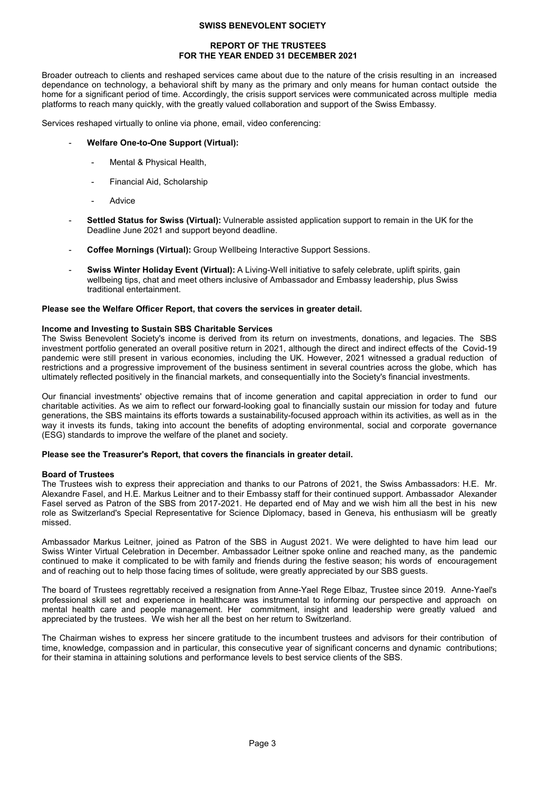## **REPORT OF THE TRUSTEES FOR THE YEAR ENDED 31 DECEMBER 2021**

Broader outreach to clients and reshaped services came about due to the nature of the crisis resulting in an increased dependance on technology, a behavioral shift by many as the primary and only means for human contact outside the home for a significant period of time. Accordingly, the crisis support services were communicated across multiple media platforms to reach many quickly, with the greatly valued collaboration and support of the Swiss Embassy.

Services reshaped virtually to online via phone, email, video conferencing:

### - **Welfare One-to-One Support (Virtual):**

- Mental & Physical Health,
- Financial Aid, Scholarship
- **Advice**
- Settled Status for Swiss (Virtual): Vulnerable assisted application support to remain in the UK for the Deadline June 2021 and support beyond deadline.
- Coffee Mornings (Virtual): Group Wellbeing Interactive Support Sessions.
- **Swiss Winter Holiday Event (Virtual):** A Living-Well initiative to safely celebrate, uplift spirits, gain wellbeing tips, chat and meet others inclusive of Ambassador and Embassy leadership, plus Swiss traditional entertainment.

#### **Please see the Welfare Officer Report, that covers the services in greater detail.**

#### **Income and Investing to Sustain SBS Charitable Services**

The Swiss Benevolent Society's income is derived from its return on investments, donations, and legacies. The SBS investment portfolio generated an overall positive return in 2021, although the direct and indirect effects of the Covid-19 pandemic were still present in various economies, including the UK. However, 2021 witnessed a gradual reduction of restrictions and a progressive improvement of the business sentiment in several countries across the globe, which has ultimately reflected positively in the financial markets, and consequentially into the Society's financial investments.

Our financial investments' objective remains that of income generation and capital appreciation in order to fund our charitable activities. As we aim to reflect our forward-looking goal to financially sustain our mission for today and future generations, the SBS maintains its efforts towards a sustainability-focused approach within its activities, as well as in the way it invests its funds, taking into account the benefits of adopting environmental, social and corporate governance (ESG) standards to improve the welfare of the planet and society.

# **Please see the Treasurer's Report, that covers the financials in greater detail.**

#### **Board of Trustees**

The Trustees wish to express their appreciation and thanks to our Patrons of 2021, the Swiss Ambassadors: H.E. Mr. Alexandre Fasel, and H.E. Markus Leitner and to their Embassy staff for their continued support. Ambassador Alexander Fasel served as Patron of the SBS from 2017-2021. He departed end of May and we wish him all the best in his new role as Switzerland's Special Representative for Science Diplomacy, based in Geneva, his enthusiasm will be greatly missed.

Ambassador Markus Leitner, joined as Patron of the SBS in August 2021. We were delighted to have him lead our Swiss Winter Virtual Celebration in December. Ambassador Leitner spoke online and reached many, as the pandemic continued to make it complicated to be with family and friends during the festive season; his words of encouragement and of reaching out to help those facing times of solitude, were greatly appreciated by our SBS guests.

The board of Trustees regrettably received a resignation from Anne-Yael Rege Elbaz, Trustee since 2019. Anne-Yael's professional skill set and experience in healthcare was instrumental to informing our perspective and approach on mental health care and people management. Her commitment, insight and leadership were greatly valued and appreciated by the trustees. We wish her all the best on her return to Switzerland.

The Chairman wishes to express her sincere gratitude to the incumbent trustees and advisors for their contribution of time, knowledge, compassion and in particular, this consecutive year of significant concerns and dynamic contributions; for their stamina in attaining solutions and performance levels to best service clients of the SBS.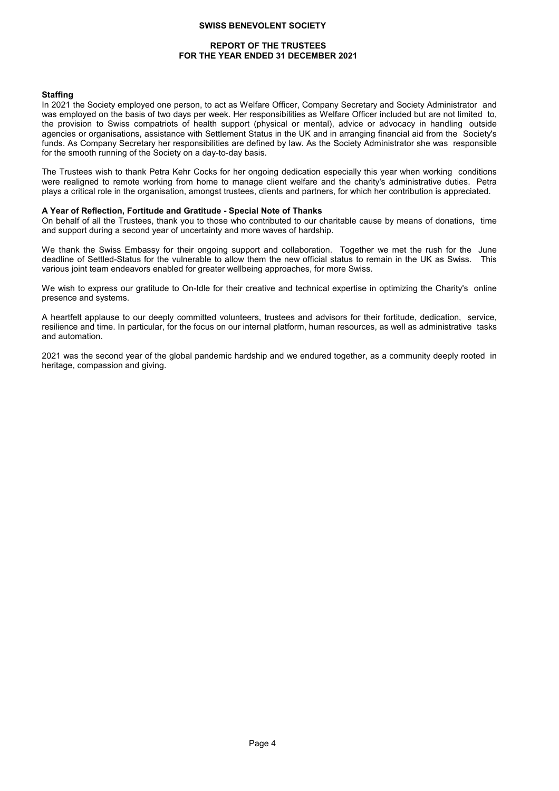# **REPORT OF THE TRUSTEES FOR THE YEAR ENDED 31 DECEMBER 2021**

#### **Staffing**

In 2021 the Society employed one person, to act as Welfare Officer, Company Secretary and Society Administrator and was employed on the basis of two days per week. Her responsibilities as Welfare Officer included but are not limited to, the provision to Swiss compatriots of health support (physical or mental), advice or advocacy in handling outside agencies or organisations, assistance with Settlement Status in the UK and in arranging financial aid from the Society's funds. As Company Secretary her responsibilities are defined by law. As the Society Administrator she was responsible for the smooth running of the Society on a day-to-day basis.

The Trustees wish to thank Petra Kehr Cocks for her ongoing dedication especially this year when working conditions were realigned to remote working from home to manage client welfare and the charity's administrative duties. Petra plays a critical role in the organisation, amongst trustees, clients and partners, for which her contribution is appreciated.

# **A Year of Reflection, Fortitude and Gratitude - Special Note of Thanks**

On behalf of all the Trustees, thank you to those who contributed to our charitable cause by means of donations, time and support during a second year of uncertainty and more waves of hardship.

We thank the Swiss Embassy for their ongoing support and collaboration. Together we met the rush for the June deadline of Settled-Status for the vulnerable to allow them the new official status to remain in the UK as Swiss. This various joint team endeavors enabled for greater wellbeing approaches, for more Swiss.

We wish to express our gratitude to On-Idle for their creative and technical expertise in optimizing the Charity's online presence and systems.

A heartfelt applause to our deeply committed volunteers, trustees and advisors for their fortitude, dedication, service, resilience and time. In particular, for the focus on our internal platform, human resources, as well as administrative tasks and automation.

2021 was the second year of the global pandemic hardship and we endured together, as a community deeply rooted in heritage, compassion and giving.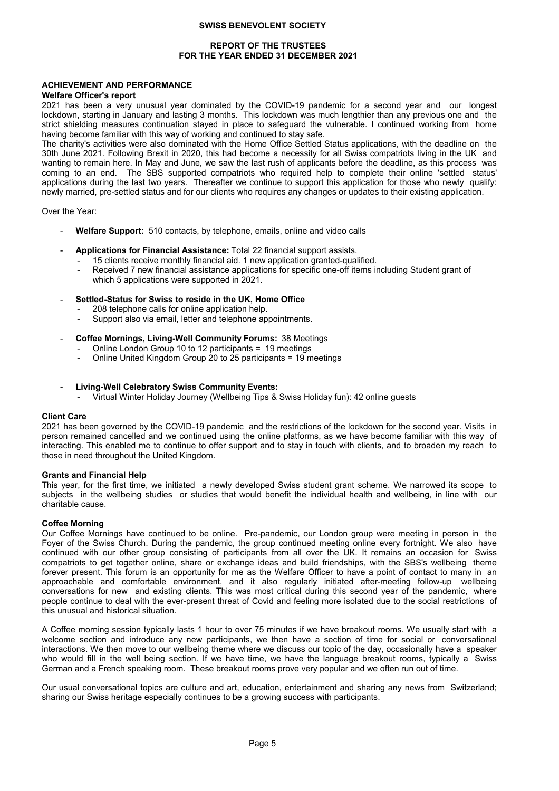# **REPORT OF THE TRUSTEES FOR THE YEAR ENDED 31 DECEMBER 2021**

# **ACHIEVEMENT AND PERFORMANCE**

## **Welfare Officer's report**

2021 has been a very unusual year dominated by the COVID-19 pandemic for a second year and our longest lockdown, starting in January and lasting 3 months. This lockdown was much lengthier than any previous one and the strict shielding measures continuation stayed in place to safeguard the vulnerable. I continued working from home having become familiar with this way of working and continued to stay safe.

The charity's activities were also dominated with the Home Office Settled Status applications, with the deadline on the 30th June 2021. Following Brexit in 2020, this had become a necessity for all Swiss compatriots living in the UK and wanting to remain here. In May and June, we saw the last rush of applicants before the deadline, as this process was coming to an end. The SBS supported compatriots who required help to complete their online 'settled status' applications during the last two years. Thereafter we continue to support this application for those who newly qualify: newly married, pre-settled status and for our clients who requires any changes or updates to their existing application.

Over the Year:

- Welfare Support: 510 contacts, by telephone, emails, online and video calls
- **Applications for Financial Assistance:** Total 22 financial support assists.
	- 15 clients receive monthly financial aid. 1 new application granted-qualified.
	- Received 7 new financial assistance applications for specific one-off items including Student grant of which 5 applications were supported in 2021.
- **Settled-Status for Swiss to reside in the UK, Home Office**
	- 208 telephone calls for online application help.
	- Support also via email, letter and telephone appointments.
- **Coffee Mornings, Living-Well Community Forums:** 38 Meetings
	- Online London Group 10 to 12 participants = 19 meetings
	- Online United Kingdom Group 20 to 25 participants = 19 meetings
- **Living-Well Celebratory Swiss Community Events:**
	- Virtual Winter Holiday Journey (Wellbeing Tips & Swiss Holiday fun): 42 online guests

#### **Client Care**

2021 has been governed by the COVID-19 pandemic and the restrictions of the lockdown for the second year. Visits in person remained cancelled and we continued using the online platforms, as we have become familiar with this way of interacting. This enabled me to continue to offer support and to stay in touch with clients, and to broaden my reach to those in need throughout the United Kingdom.

#### **Grants and Financial Help**

This year, for the first time, we initiated a newly developed Swiss student grant scheme. We narrowed its scope to subjects in the wellbeing studies or studies that would benefit the individual health and wellbeing, in line with our charitable cause.

# **Coffee Morning**

Our Coffee Mornings have continued to be online. Pre-pandemic, our London group were meeting in person in the Foyer of the Swiss Church. During the pandemic, the group continued meeting online every fortnight. We also have continued with our other group consisting of participants from all over the UK. It remains an occasion for Swiss compatriots to get together online, share or exchange ideas and build friendships, with the SBS's wellbeing theme forever present. This forum is an opportunity for me as the Welfare Officer to have a point of contact to many in an approachable and comfortable environment, and it also regularly initiated after-meeting follow-up wellbeing conversations for new and existing clients. This was most critical during this second year of the pandemic, where people continue to deal with the ever-present threat of Covid and feeling more isolated due to the social restrictions of this unusual and historical situation.

A Coffee morning session typically lasts 1 hour to over 75 minutes if we have breakout rooms. We usually start with a welcome section and introduce any new participants, we then have a section of time for social or conversational interactions. We then move to our wellbeing theme where we discuss our topic of the day, occasionally have a speaker who would fill in the well being section. If we have time, we have the language breakout rooms, typically a Swiss German and a French speaking room. These breakout rooms prove very popular and we often run out of time.

Our usual conversational topics are culture and art, education, entertainment and sharing any news from Switzerland; sharing our Swiss heritage especially continues to be a growing success with participants.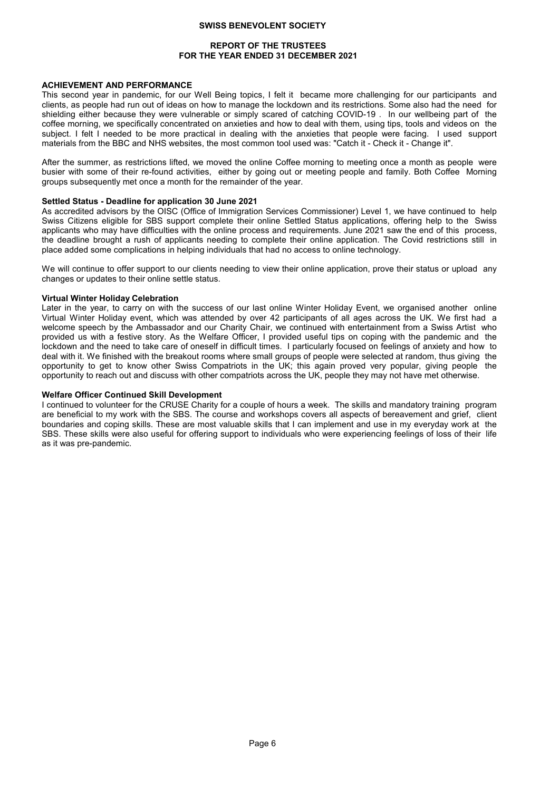# **REPORT OF THE TRUSTEES FOR THE YEAR ENDED 31 DECEMBER 2021**

## **ACHIEVEMENT AND PERFORMANCE**

This second year in pandemic, for our Well Being topics, I felt it became more challenging for our participants and clients, as people had run out of ideas on how to manage the lockdown and its restrictions. Some also had the need for shielding either because they were vulnerable or simply scared of catching COVID-19 . In our wellbeing part of the coffee morning, we specifically concentrated on anxieties and how to deal with them, using tips, tools and videos on the subject. I felt I needed to be more practical in dealing with the anxieties that people were facing. I used support materials from the BBC and NHS websites, the most common tool used was: "Catch it - Check it - Change it".

After the summer, as restrictions lifted, we moved the online Coffee morning to meeting once a month as people were busier with some of their re-found activities, either by going out or meeting people and family. Both Coffee Morning groups subsequently met once a month for the remainder of the year.

## **Settled Status - Deadline for application 30 June 2021**

As accredited advisors by the OISC (Office of Immigration Services Commissioner) Level 1, we have continued to help Swiss Citizens eligible for SBS support complete their online Settled Status applications, offering help to the Swiss applicants who may have difficulties with the online process and requirements. June 2021 saw the end of this process, the deadline brought a rush of applicants needing to complete their online application. The Covid restrictions still in place added some complications in helping individuals that had no access to online technology.

We will continue to offer support to our clients needing to view their online application, prove their status or upload any changes or updates to their online settle status.

#### **Virtual Winter Holiday Celebration**

Later in the year, to carry on with the success of our last online Winter Holiday Event, we organised another online Virtual Winter Holiday event, which was attended by over 42 participants of all ages across the UK. We first had a welcome speech by the Ambassador and our Charity Chair, we continued with entertainment from a Swiss Artist who provided us with a festive story. As the Welfare Officer, I provided useful tips on coping with the pandemic and the lockdown and the need to take care of oneself in difficult times. I particularly focused on feelings of anxiety and how to deal with it. We finished with the breakout rooms where small groups of people were selected at random, thus giving the opportunity to get to know other Swiss Compatriots in the UK; this again proved very popular, giving people the opportunity to reach out and discuss with other compatriots across the UK, people they may not have met otherwise.

# **Welfare Officer Continued Skill Development**

I continued to volunteer for the CRUSE Charity for a couple of hours a week. The skills and mandatory training program are beneficial to my work with the SBS. The course and workshops covers all aspects of bereavement and grief, client boundaries and coping skills. These are most valuable skills that I can implement and use in my everyday work at the SBS. These skills were also useful for offering support to individuals who were experiencing feelings of loss of their life as it was pre-pandemic.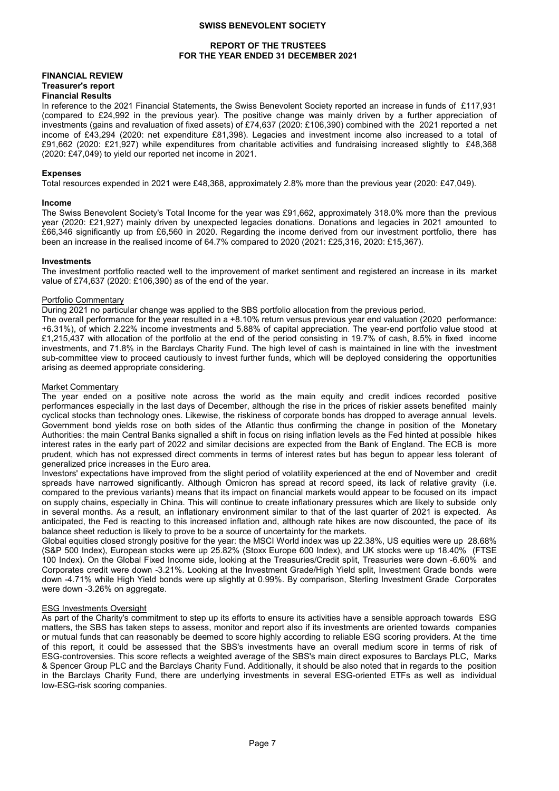# **REPORT OF THE TRUSTEES FOR THE YEAR ENDED 31 DECEMBER 2021**

# **FINANCIAL REVIEW Treasurer's report**

#### **Financial Results**

In reference to the 2021 Financial Statements, the Swiss Benevolent Society reported an increase in funds of £117,931 (compared to £24,992 in the previous year). The positive change was mainly driven by a further appreciation of investments (gains and revaluation of fixed assets) of £74,637 (2020: £106,390) combined with the 2021 reported a net income of £43,294 (2020: net expenditure £81,398). Legacies and investment income also increased to a total of £91,662 (2020: £21,927) while expenditures from charitable activities and fundraising increased slightly to £48,368 (2020: £47,049) to yield our reported net income in 2021.

#### **Expenses**

Total resources expended in 2021 were £48,368, approximately 2.8% more than the previous year (2020: £47,049).

#### **Income**

The Swiss Benevolent Society's Total Income for the year was £91,662, approximately 318.0% more than the previous year (2020: £21,927) mainly driven by unexpected legacies donations. Donations and legacies in 2021 amounted to £66,346 significantly up from £6,560 in 2020. Regarding the income derived from our investment portfolio, there has been an increase in the realised income of 64.7% compared to 2020 (2021: £25,316, 2020: £15,367).

# **Investments**

The investment portfolio reacted well to the improvement of market sentiment and registered an increase in its market value of £74,637 (2020: £106,390) as of the end of the year.

#### Portfolio Commentary

During 2021 no particular change was applied to the SBS portfolio allocation from the previous period.

The overall performance for the year resulted in a +8.10% return versus previous year end valuation (2020 performance: +6.31%), of which 2.22% income investments and 5.88% of capital appreciation. The year-end portfolio value stood at £1,215,437 with allocation of the portfolio at the end of the period consisting in 19.7% of cash, 8.5% in fixed income investments, and 71.8% in the Barclays Charity Fund. The high level of cash is maintained in line with the investment sub-committee view to proceed cautiously to invest further funds, which will be deployed considering the opportunities arising as deemed appropriate considering.

#### Market Commentary

The year ended on a positive note across the world as the main equity and credit indices recorded positive performances especially in the last days of December, although the rise in the prices of riskier assets benefited mainly cyclical stocks than technology ones. Likewise, the riskiness of corporate bonds has dropped to average annual levels. Government bond yields rose on both sides of the Atlantic thus confirming the change in position of the Monetary Authorities: the main Central Banks signalled a shift in focus on rising inflation levels as the Fed hinted at possible hikes interest rates in the early part of 2022 and similar decisions are expected from the Bank of England. The ECB is more prudent, which has not expressed direct comments in terms of interest rates but has begun to appear less tolerant of generalized price increases in the Euro area.

Investors' expectations have improved from the slight period of volatility experienced at the end of November and credit spreads have narrowed significantly. Although Omicron has spread at record speed, its lack of relative gravity (i.e. compared to the previous variants) means that its impact on financial markets would appear to be focused on its impact on supply chains, especially in China. This will continue to create inflationary pressures which are likely to subside only in several months. As a result, an inflationary environment similar to that of the last quarter of 2021 is expected. As anticipated, the Fed is reacting to this increased inflation and, although rate hikes are now discounted, the pace of its balance sheet reduction is likely to prove to be a source of uncertainty for the markets.

Global equities closed strongly positive for the year: the MSCI World index was up 22.38%, US equities were up 28.68% (S&P 500 Index), European stocks were up 25.82% (Stoxx Europe 600 Index), and UK stocks were up 18.40% (FTSE 100 Index). On the Global Fixed Income side, looking at the Treasuries/Credit split, Treasuries were down -6.60% and Corporates credit were down -3.21%. Looking at the Investment Grade/High Yield split, Investment Grade bonds were down -4.71% while High Yield bonds were up slightly at 0.99%. By comparison, Sterling Investment Grade Corporates were down -3.26% on aggregate.

#### ESG Investments Oversight

As part of the Charity's commitment to step up its efforts to ensure its activities have a sensible approach towards ESG matters, the SBS has taken steps to assess, monitor and report also if its investments are oriented towards companies or mutual funds that can reasonably be deemed to score highly according to reliable ESG scoring providers. At the time of this report, it could be assessed that the SBS's investments have an overall medium score in terms of risk of ESG-controversies. This score reflects a weighted average of the SBS's main direct exposures to Barclays PLC, Marks & Spencer Group PLC and the Barclays Charity Fund. Additionally, it should be also noted that in regards to the position in the Barclays Charity Fund, there are underlying investments in several ESG-oriented ETFs as well as individual low-ESG-risk scoring companies.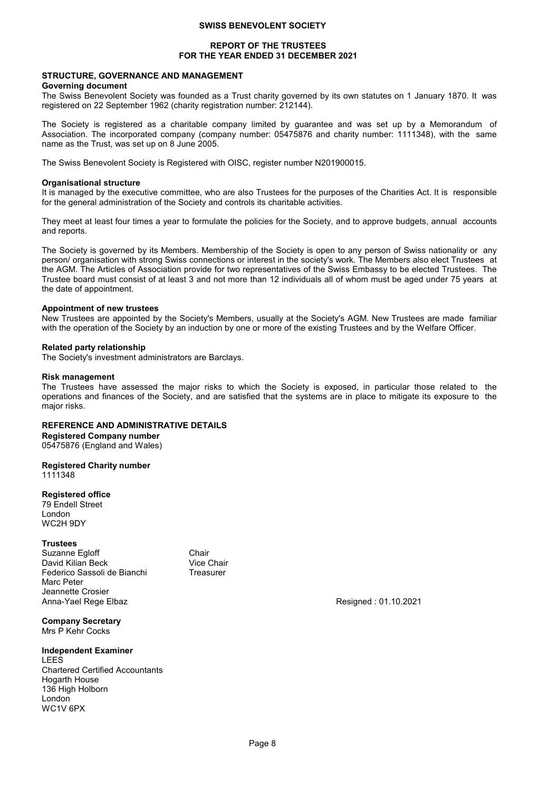# **REPORT OF THE TRUSTEES FOR THE YEAR ENDED 31 DECEMBER 2021**

# **STRUCTURE, GOVERNANCE AND MANAGEMENT**

## **Governing document**

The Swiss Benevolent Society was founded as a Trust charity governed by its own statutes on 1 January 1870. It was registered on 22 September 1962 (charity registration number: 212144).

The Society is registered as a charitable company limited by guarantee and was set up by a Memorandum of Association. The incorporated company (company number: 05475876 and charity number: 1111348), with the same name as the Trust, was set up on 8 June 2005.

The Swiss Benevolent Society is Registered with OISC, register number N201900015.

#### **Organisational structure**

It is managed by the executive committee, who are also Trustees for the purposes of the Charities Act. It is responsible for the general administration of the Society and controls its charitable activities.

They meet at least four times a year to formulate the policies for the Society, and to approve budgets, annual accounts and reports.

The Society is governed by its Members. Membership of the Society is open to any person of Swiss nationality or any person/ organisation with strong Swiss connections or interest in the society's work. The Members also elect Trustees at the AGM. The Articles of Association provide for two representatives of the Swiss Embassy to be elected Trustees. The Trustee board must consist of at least 3 and not more than 12 individuals all of whom must be aged under 75 years at the date of appointment.

#### **Appointment of new trustees**

New Trustees are appointed by the Society's Members, usually at the Society's AGM. New Trustees are made familiar with the operation of the Society by an induction by one or more of the existing Trustees and by the Welfare Officer.

#### **Related party relationship**

The Society's investment administrators are Barclays.

#### **Risk management**

The Trustees have assessed the major risks to which the Society is exposed, in particular those related to the operations and finances of the Society, and are satisfied that the systems are in place to mitigate its exposure to the major risks.

# **REFERENCE AND ADMINISTRATIVE DETAILS**

**Registered Company number**

05475876 (England and Wales)

# **Registered Charity number**

1111348

# **Registered office**

79 Endell Street London WC2H 9DY

#### **Trustees**

Suzanne Egloff Chair David Kilian Beck Vice Chair<br>Eederico Sassoli de Bianchi Kanasurer Federico Sassoli de Bianchi Marc Peter Jeannette Crosier Anna-Yael Rege Elbaz **Resigned : 01.10.2021** Resigned : 01.10.2021

**Company Secretary** Mrs P Kehr Cocks

# **Independent Examiner**

LEES Chartered Certified Accountants Hogarth House 136 High Holborn London WC1V 6PX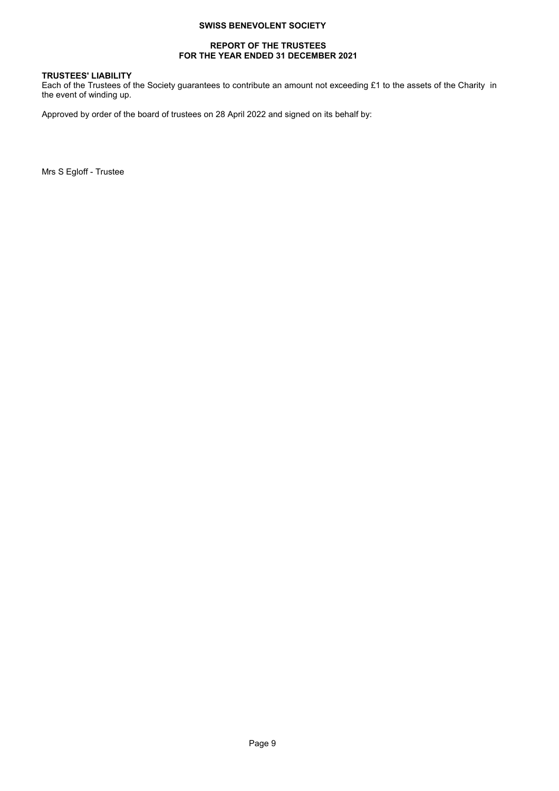# **REPORT OF THE TRUSTEES FOR THE YEAR ENDED 31 DECEMBER 2021**

# **TRUSTEES' LIABILITY**

Each of the Trustees of the Society guarantees to contribute an amount not exceeding £1 to the assets of the Charity in the event of winding up.

Approved by order of the board of trustees on 28 April 2022 and signed on its behalf by:

Mrs S Egloff - Trustee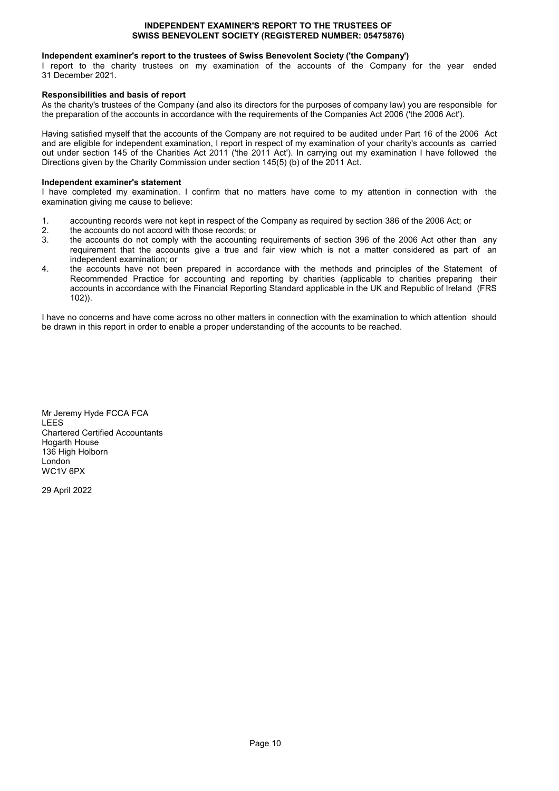# **INDEPENDENT EXAMINER'S REPORT TO THE TRUSTEES OF SWISS BENEVOLENT SOCIETY (REGISTERED NUMBER: 05475876)**

# **Independent examiner's report to the trustees of Swiss Benevolent Society ('the Company')**

I report to the charity trustees on my examination of the accounts of the Company for the year ended 31 December 2021.

# **Responsibilities and basis of report**

As the charity's trustees of the Company (and also its directors for the purposes of company law) you are responsible for the preparation of the accounts in accordance with the requirements of the Companies Act 2006 ('the 2006 Act').

Having satisfied myself that the accounts of the Company are not required to be audited under Part 16 of the 2006 Act and are eligible for independent examination, I report in respect of my examination of your charity's accounts as carried out under section 145 of the Charities Act 2011 ('the 2011 Act'). In carrying out my examination I have followed the Directions given by the Charity Commission under section  $145(5)(b)$  of the 2011 Act.

# **Independent examiner's statement**

I have completed my examination. I confirm that no matters have come to my attention in connection with the examination giving me cause to believe:

- 1. accounting records were not kept in respect of the Company as required by section 386 of the 2006 Act; or <br>2. the accounts do not accord with those records: or
- 2. the accounts do not accord with those records; or 3. the accounts do not comply with the accounting
- the accounts do not comply with the accounting requirements of section 396 of the 2006 Act other than any requirement that the accounts give a true and fair view which is not a matter considered as part of an independent examination; or
- 4. the accounts have not been prepared in accordance with the methods and principles of the Statement of Recommended Practice for accounting and reporting by charities (applicable to charities preparing their accounts in accordance with the Financial Reporting Standard applicable in the UK and Republic of Ireland (FRS 102)).

I have no concerns and have come across no other matters in connection with the examination to which attention should be drawn in this report in order to enable a proper understanding of the accounts to be reached.

Mr Jeremy Hyde FCCA FCA LEES Chartered Certified Accountants Hogarth House 136 High Holborn London WC1V 6PX

29 April 2022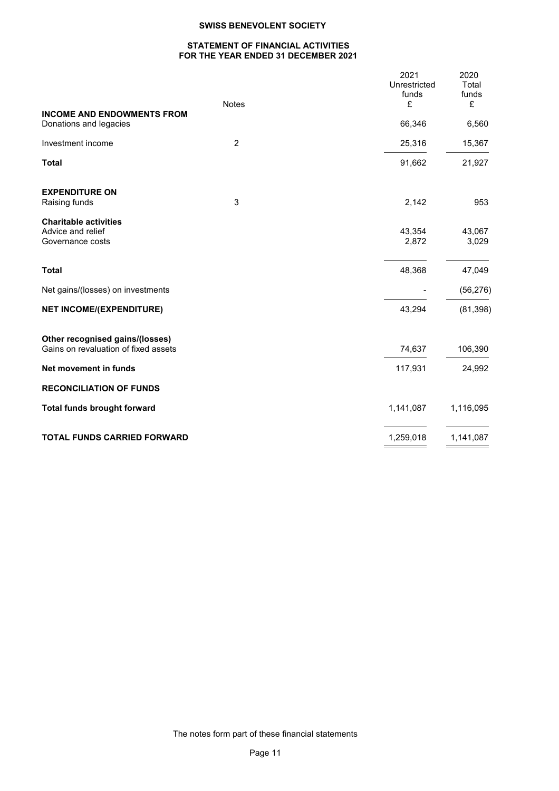# **STATEMENT OF FINANCIAL ACTIVITIES FOR THE YEAR ENDED 31 DECEMBER 2021**

| <b>Notes</b>                                                | 2021<br>Unrestricted<br>funds<br>£ | 2020<br>Total<br>funds |
|-------------------------------------------------------------|------------------------------------|------------------------|
| <b>INCOME AND ENDOWMENTS FROM</b><br>Donations and legacies | 66,346                             | £<br>6,560             |
|                                                             |                                    |                        |
| $\overline{c}$<br>Investment income                         | 25,316                             | 15,367                 |
| <b>Total</b>                                                | 91,662                             | 21,927                 |
| <b>EXPENDITURE ON</b>                                       |                                    |                        |
| 3<br>Raising funds                                          | 2,142                              | 953                    |
| <b>Charitable activities</b><br>Advice and relief           | 43,354                             | 43,067                 |
| Governance costs                                            | 2,872                              | 3,029                  |
| <b>Total</b>                                                | 48,368                             | 47,049                 |
| Net gains/(losses) on investments                           |                                    | (56, 276)              |
| <b>NET INCOME/(EXPENDITURE)</b>                             | 43,294                             | (81, 398)              |
| Other recognised gains/(losses)                             |                                    |                        |
| Gains on revaluation of fixed assets                        | 74,637                             | 106,390                |
| Net movement in funds                                       | 117,931                            | 24,992                 |
| <b>RECONCILIATION OF FUNDS</b>                              |                                    |                        |
| <b>Total funds brought forward</b>                          | 1,141,087                          | 1,116,095              |
| <b>TOTAL FUNDS CARRIED FORWARD</b>                          | 1,259,018                          | 1,141,087              |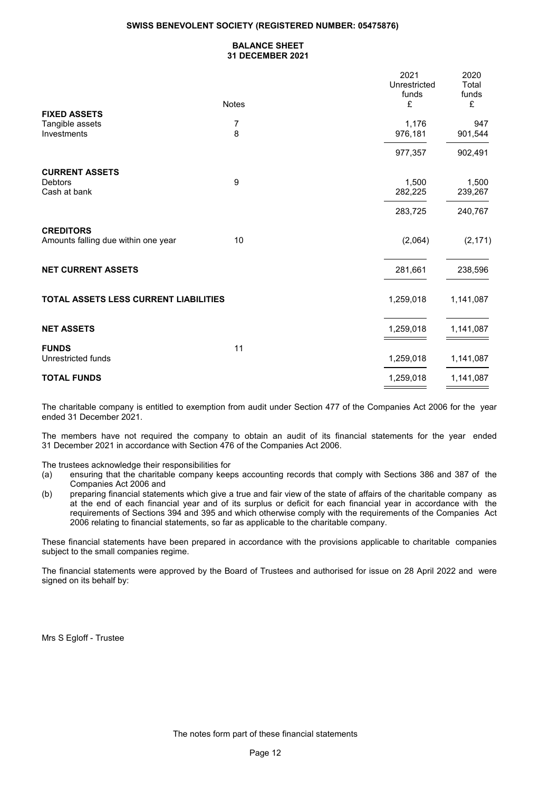# **SWISS BENEVOLENT SOCIETY (REGISTERED NUMBER: 05475876)**

# **BALANCE SHEET 31 DECEMBER 2021**

|                                                         |                     | 2021<br>Unrestricted<br>funds | 2020<br>Total<br>funds |
|---------------------------------------------------------|---------------------|-------------------------------|------------------------|
|                                                         | <b>Notes</b>        | £                             | £                      |
| <b>FIXED ASSETS</b><br>Tangible assets<br>Investments   | $\overline{7}$<br>8 | 1,176<br>976,181              | 947<br>901,544         |
|                                                         |                     | 977,357                       | 902,491                |
| <b>CURRENT ASSETS</b>                                   |                     |                               |                        |
| <b>Debtors</b><br>Cash at bank                          | 9                   | 1,500<br>282,225              | 1,500<br>239,267       |
|                                                         |                     | 283,725                       | 240,767                |
| <b>CREDITORS</b><br>Amounts falling due within one year | 10                  | (2,064)                       | (2, 171)               |
| <b>NET CURRENT ASSETS</b>                               |                     | 281,661                       | 238,596                |
| TOTAL ASSETS LESS CURRENT LIABILITIES                   |                     | 1,259,018                     | 1,141,087              |
| <b>NET ASSETS</b>                                       |                     | 1,259,018                     | 1,141,087              |
| <b>FUNDS</b>                                            | 11                  |                               |                        |
| Unrestricted funds                                      |                     | 1,259,018                     | 1,141,087              |
| <b>TOTAL FUNDS</b>                                      |                     | 1,259,018                     | 1,141,087              |

The charitable company is entitled to exemption from audit under Section 477 of the Companies Act 2006 for the year ended 31 December 2021.

The members have not required the company to obtain an audit of its financial statements for the year ended 31 December 2021 in accordance with Section 476 of the Companies Act 2006.

The trustees acknowledge their responsibilities for

- (a) ensuring that the charitable company keeps accounting records that comply with Sections 386 and 387 of the Companies Act 2006 and
- (b) preparing financial statements which give a true and fair view of the state of affairs of the charitable company as at the end of each financial year and of its surplus or deficit for each financial year in accordance with the requirements of Sections 394 and 395 and which otherwise comply with the requirements of the Companies Act 2006 relating to financial statements, so far as applicable to the charitable company.

These financial statements have been prepared in accordance with the provisions applicable to charitable companies subject to the small companies regime.

The financial statements were approved by the Board of Trustees and authorised for issue on 28 April 2022 and were signed on its behalf by:

Mrs S Egloff - Trustee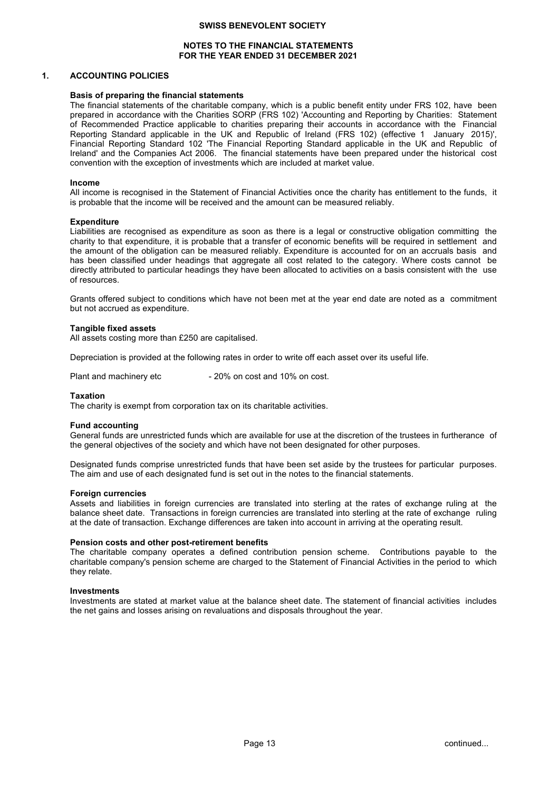# **NOTES TO THE FINANCIAL STATEMENTS FOR THE YEAR ENDED 31 DECEMBER 2021**

### **1. ACCOUNTING POLICIES**

#### **Basis of preparing the financial statements**

The financial statements of the charitable company, which is a public benefit entity under FRS 102, have been prepared in accordance with the Charities SORP (FRS 102) 'Accounting and Reporting by Charities: Statement of Recommended Practice applicable to charities preparing their accounts in accordance with the Financial Reporting Standard applicable in the UK and Republic of Ireland (FRS 102) (effective 1 January 2015)', Financial Reporting Standard 102 'The Financial Reporting Standard applicable in the UK and Republic of Ireland' and the Companies Act 2006. The financial statements have been prepared under the historical cost convention with the exception of investments which are included at market value.

#### **Income**

All income is recognised in the Statement of Financial Activities once the charity has entitlement to the funds, it is probable that the income will be received and the amount can be measured reliably.

#### **Expenditure**

Liabilities are recognised as expenditure as soon as there is a legal or constructive obligation committing the charity to that expenditure, it is probable that a transfer of economic benefits will be required in settlement and the amount of the obligation can be measured reliably. Expenditure is accounted for on an accruals basis and has been classified under headings that aggregate all cost related to the category. Where costs cannot be directly attributed to particular headings they have been allocated to activities on a basis consistent with the use of resources.

Grants offered subject to conditions which have not been met at the year end date are noted as a commitment but not accrued as expenditure.

#### **Tangible fixed assets**

All assets costing more than £250 are capitalised.

Depreciation is provided at the following rates in order to write off each asset over its useful life.

Plant and machinery etc - 20% on cost and 10% on cost.

#### **Taxation**

The charity is exempt from corporation tax on its charitable activities.

#### **Fund accounting**

General funds are unrestricted funds which are available for use at the discretion of the trustees in furtherance of the general objectives of the society and which have not been designated for other purposes.

Designated funds comprise unrestricted funds that have been set aside by the trustees for particular purposes. The aim and use of each designated fund is set out in the notes to the financial statements.

# **Foreign currencies**

Assets and liabilities in foreign currencies are translated into sterling at the rates of exchange ruling at the balance sheet date. Transactions in foreign currencies are translated into sterling at the rate of exchange ruling at the date of transaction. Exchange differences are taken into account in arriving at the operating result.

#### **Pension costs and other post-retirement benefits**

The charitable company operates a defined contribution pension scheme. Contributions payable to the charitable company's pension scheme are charged to the Statement of Financial Activities in the period to which they relate.

# **Investments**

Investments are stated at market value at the balance sheet date. The statement of financial activities includes the net gains and losses arising on revaluations and disposals throughout the year.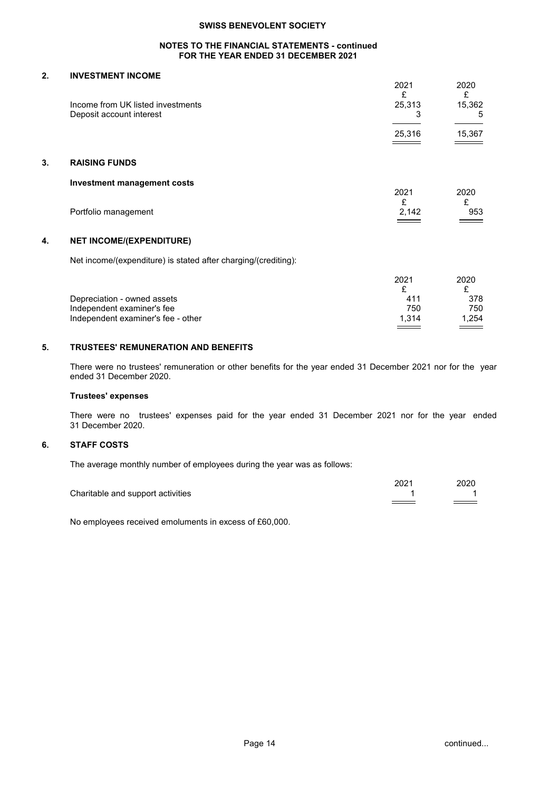# **NOTES TO THE FINANCIAL STATEMENTS - continued FOR THE YEAR ENDED 31 DECEMBER 2021**

# **2. INVESTMENT INCOME**

|    | Income from UK listed investments<br>Deposit account interest | 2021<br>£<br>25,313<br>3 | 2020<br>£<br>15,362<br>5 |
|----|---------------------------------------------------------------|--------------------------|--------------------------|
|    |                                                               | 25,316                   | 15,367                   |
| 3. | <b>RAISING FUNDS</b>                                          |                          |                          |
|    | <b>Investment management costs</b>                            | 2021                     | 2020                     |
|    | Portfolio management                                          | £<br>2,142               | £<br>953                 |
| 4. | <b>NET INCOME/(EXPENDITURE)</b>                               |                          |                          |

Net income/(expenditure) is stated after charging/(crediting):

|                                    | 2021  | 2020  |
|------------------------------------|-------|-------|
|                                    |       |       |
| Depreciation - owned assets        | 411   | 378   |
| Independent examiner's fee         | 750   | 750   |
| Independent examiner's fee - other | 1.314 | 1.254 |
|                                    |       |       |

# **5. TRUSTEES' REMUNERATION AND BENEFITS**

There were no trustees' remuneration or other benefits for the year ended 31 December 2021 nor for the year ended 31 December 2020.

# **Trustees' expenses**

There were no trustees' expenses paid for the year ended 31 December 2021 nor for the year ended 31 December 2020.

# **6. STAFF COSTS**

The average monthly number of employees during the year was as follows:

|                                   | 202 <sup>4</sup> | 2020 |
|-----------------------------------|------------------|------|
| Charitable and support activities |                  |      |
|                                   |                  |      |

No employees received emoluments in excess of £60,000.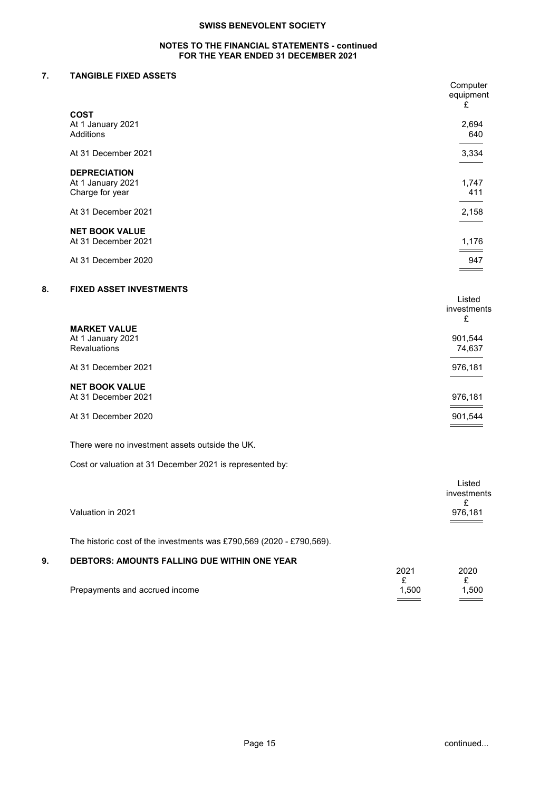# **NOTES TO THE FINANCIAL STATEMENTS - continued FOR THE YEAR ENDED 31 DECEMBER 2021**

# **7. TANGIBLE FIXED ASSETS**

|    |                                | Computer<br>equipment<br>£ |
|----|--------------------------------|----------------------------|
|    | <b>COST</b>                    |                            |
|    | At 1 January 2021              | 2,694                      |
|    | Additions                      | 640                        |
|    | At 31 December 2021            | 3,334                      |
|    | <b>DEPRECIATION</b>            |                            |
|    | At 1 January 2021              | 1,747                      |
|    | Charge for year                | 411                        |
|    | At 31 December 2021            | 2,158                      |
|    | <b>NET BOOK VALUE</b>          |                            |
|    | At 31 December 2021            | 1,176                      |
|    |                                |                            |
|    | At 31 December 2020            | 947                        |
|    |                                |                            |
| 8. | <b>FIXED ASSET INVESTMENTS</b> |                            |
|    |                                | Listed                     |
|    |                                | investments                |
|    |                                | $\sim$                     |

|                                                                 | £                                                       |
|-----------------------------------------------------------------|---------------------------------------------------------|
| <b>MARKET VALUE</b><br>At 1 January 2021<br><b>Revaluations</b> | 901,544<br>74,637                                       |
| At 31 December 2021                                             | 976,181                                                 |
| <b>NET BOOK VALUE</b><br>At 31 December 2021                    | 976,181<br>the control of the control of the control of |
| At 31 December 2020                                             | 901,544                                                 |

There were no investment assets outside the UK.

Cost or valuation at 31 December 2021 is represented by:

| Valuation in 2021                                                    | Listed<br>investments<br>976,181 |
|----------------------------------------------------------------------|----------------------------------|
| The historic cost of the investments was £790,569 (2020 - £790,569). |                                  |

# **9. DEBTORS: AMOUNTS FALLING DUE WITHIN ONE YEAR**

|                                | 2021  | 2020  |
|--------------------------------|-------|-------|
|                                |       |       |
| Prepayments and accrued income | 1.500 | 1.500 |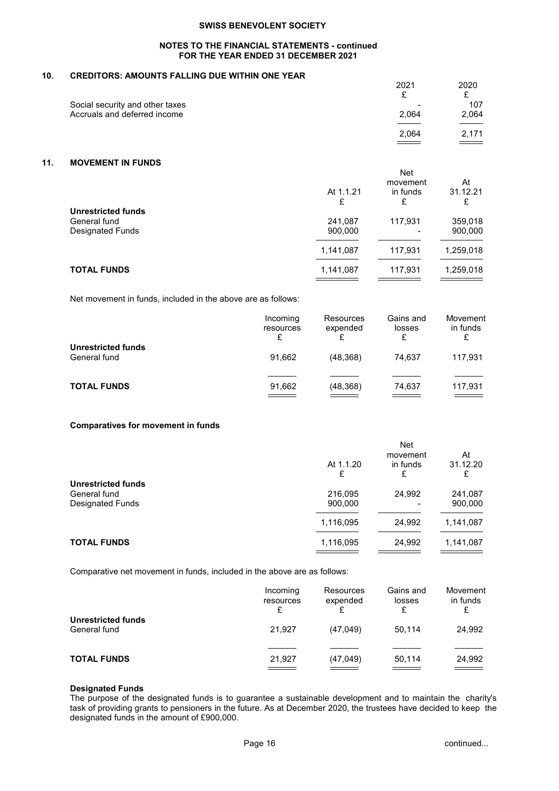# **NOTES TO THE FINANCIAL STATEMENTS - continued FOR THE YEAR ENDED 31 DECEMBER 2021**

# **10. CREDITORS: AMOUNTS FALLING DUE WITHIN ONE YEAR**

|                                                                 | 2021                              | 2020         |
|-----------------------------------------------------------------|-----------------------------------|--------------|
| Social security and other taxes<br>Accruals and deferred income | $\overline{\phantom{0}}$<br>2,064 | 107<br>2,064 |
|                                                                 | 2.064                             | 2.171        |

# **11. MOVEMENT IN FUNDS**

|                                                                      | At 1.1.21<br>£     | <b>Net</b><br>movement<br>in funds<br>£ | At<br>31.12.21<br>£ |
|----------------------------------------------------------------------|--------------------|-----------------------------------------|---------------------|
| <b>Unrestricted funds</b><br>General fund<br><b>Designated Funds</b> | 241,087<br>900,000 | 117,931                                 | 359,018<br>900,000  |
|                                                                      | 1,141,087          | 117,931                                 | 1,259,018           |
| <b>TOTAL FUNDS</b>                                                   | 1,141,087          | 117,931                                 | 1,259,018           |

Net movement in funds, included in the above are as follows:

|                                    | Incoming<br>resources<br>£ | Resources<br>expended | Gains and<br>losses<br>£ | Movement<br>in funds                         |
|------------------------------------|----------------------------|-----------------------|--------------------------|----------------------------------------------|
| Unrestricted funds<br>General fund | 91.662                     | (48, 368)             | 74.637                   | 117,931                                      |
| <b>TOTAL FUNDS</b>                 | 91,662                     | (48, 368)             | 74,637                   | 117,931<br><b>Contract Contract Contract</b> |

# **Comparatives for movement in funds**

|                           |                | <b>Net</b>                |                     |
|---------------------------|----------------|---------------------------|---------------------|
|                           | At 1.1.20<br>£ | movement<br>in funds<br>£ | At<br>31.12.20<br>£ |
| <b>Unrestricted funds</b> |                |                           |                     |
| General fund              | 216,095        | 24,992                    | 241,087             |
| Designated Funds          | 900,000        |                           | 900,000             |
|                           | 1,116,095      | 24,992                    | 1,141,087           |
| <b>TOTAL FUNDS</b>        | 1,116,095      | 24,992                    | 1,141,087           |
|                           |                |                           |                     |

Comparative net movement in funds, included in the above are as follows:

|                                           | Incoming<br>resources<br>£ | Resources<br>expended | Gains and<br>losses | Movement<br>in funds |
|-------------------------------------------|----------------------------|-----------------------|---------------------|----------------------|
| <b>Unrestricted funds</b><br>General fund | 21.927                     | (47,049)              | 50.114              | 24,992               |
| <b>TOTAL FUNDS</b>                        | 21,927                     | (47, 049)             | 50,114              | 24,992               |

# **Designated Funds**

The purpose of the designated funds is to guarantee a sustainable development and to maintain the charity's task of providing grants to pensioners in the future. As at December 2020, the trustees have decided to keep the designated funds in the amount of £900,000.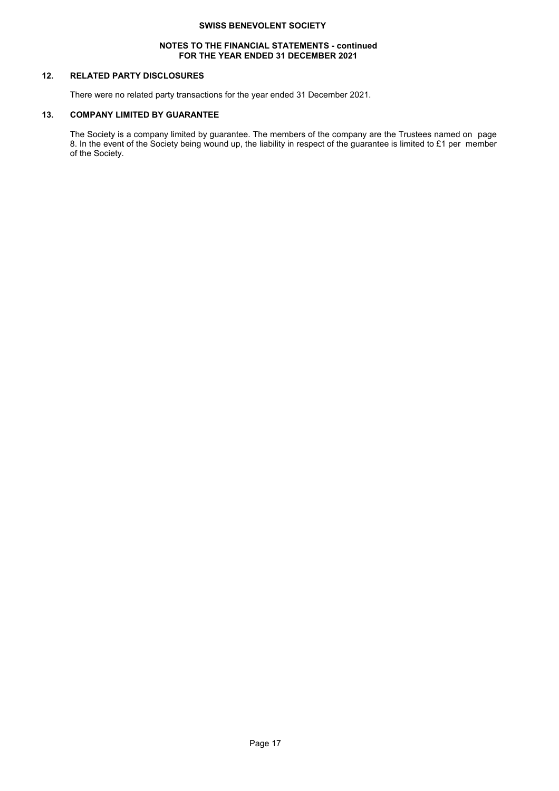## **NOTES TO THE FINANCIAL STATEMENTS - continued FOR THE YEAR ENDED 31 DECEMBER 2021**

# **12. RELATED PARTY DISCLOSURES**

There were no related party transactions for the year ended 31 December 2021.

# **13. COMPANY LIMITED BY GUARANTEE**

The Society is a company limited by guarantee. The members of the company are the Trustees named on page 8. In the event of the Society being wound up, the liability in respect of the guarantee is limited to £1 per member of the Society.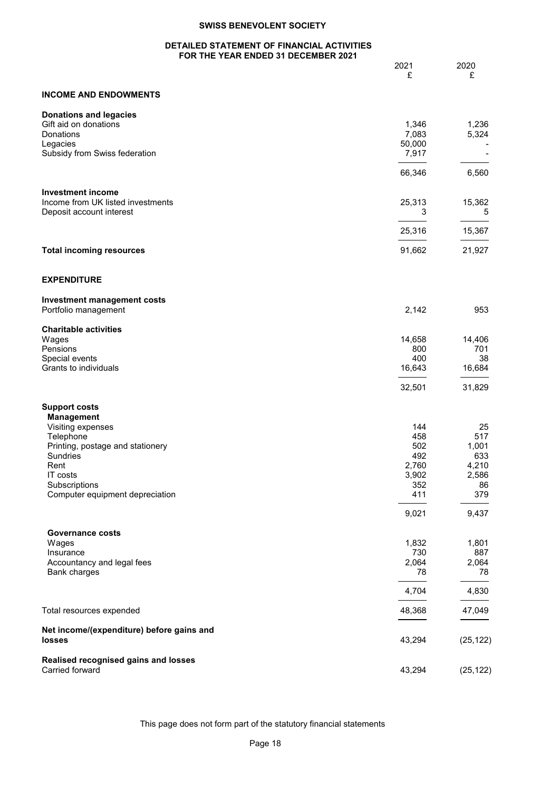# **DETAILED STATEMENT OF FINANCIAL ACTIVITIES FOR THE YEAR ENDED 31 DECEMBER 2021**

|                                                     | OR THE TEAR ENDED 3T DECEMBER 2021 |                 |              |
|-----------------------------------------------------|------------------------------------|-----------------|--------------|
|                                                     |                                    | 2021<br>£       | 2020<br>£    |
|                                                     |                                    |                 |              |
| <b>INCOME AND ENDOWMENTS</b>                        |                                    |                 |              |
| <b>Donations and legacies</b>                       |                                    |                 |              |
| Gift aid on donations                               |                                    | 1,346           | 1,236        |
| Donations                                           |                                    | 7,083<br>50,000 | 5,324        |
| Legacies<br>Subsidy from Swiss federation           |                                    | 7,917           |              |
|                                                     |                                    |                 |              |
|                                                     |                                    | 66,346          | 6,560        |
| <b>Investment income</b>                            |                                    |                 |              |
| Income from UK listed investments                   |                                    | 25,313          | 15,362       |
| Deposit account interest                            |                                    | 3               | 5            |
|                                                     |                                    | 25,316          | 15,367       |
| <b>Total incoming resources</b>                     |                                    | 91,662          | 21,927       |
|                                                     |                                    |                 |              |
| <b>EXPENDITURE</b>                                  |                                    |                 |              |
| <b>Investment management costs</b>                  |                                    |                 |              |
| Portfolio management                                |                                    | 2,142           | 953          |
| <b>Charitable activities</b>                        |                                    |                 |              |
| Wages                                               |                                    | 14,658          | 14,406       |
| Pensions                                            |                                    | 800             | 701          |
| Special events                                      |                                    | 400             | 38           |
| Grants to individuals                               |                                    | 16,643          | 16,684       |
|                                                     |                                    | 32,501          | 31,829       |
| <b>Support costs</b>                                |                                    |                 |              |
| <b>Management</b>                                   |                                    |                 |              |
| Visiting expenses                                   |                                    | 144             | 25           |
| Telephone                                           |                                    | 458             | 517          |
| Printing, postage and stationery<br>Sundries        |                                    | 502<br>492      | 1,001<br>633 |
| Rent                                                |                                    | 2,760           | 4,210        |
| IT costs                                            |                                    | 3,902           | 2,586        |
| Subscriptions                                       |                                    | 352             | 86           |
| Computer equipment depreciation                     |                                    | 411             | 379          |
|                                                     |                                    | 9,021           | 9,437        |
| <b>Governance costs</b>                             |                                    |                 |              |
| Wages                                               |                                    | 1,832           | 1,801        |
| Insurance                                           |                                    | 730             | 887          |
| Accountancy and legal fees                          |                                    | 2,064           | 2,064        |
| <b>Bank charges</b>                                 |                                    | 78              | 78           |
|                                                     |                                    | 4,704           | 4,830        |
| Total resources expended                            |                                    | 48,368          | 47,049       |
|                                                     |                                    |                 |              |
| Net income/(expenditure) before gains and<br>losses |                                    | 43,294          | (25, 122)    |
|                                                     |                                    |                 |              |
| Realised recognised gains and losses                |                                    |                 |              |
| Carried forward                                     |                                    | 43,294          | (25, 122)    |